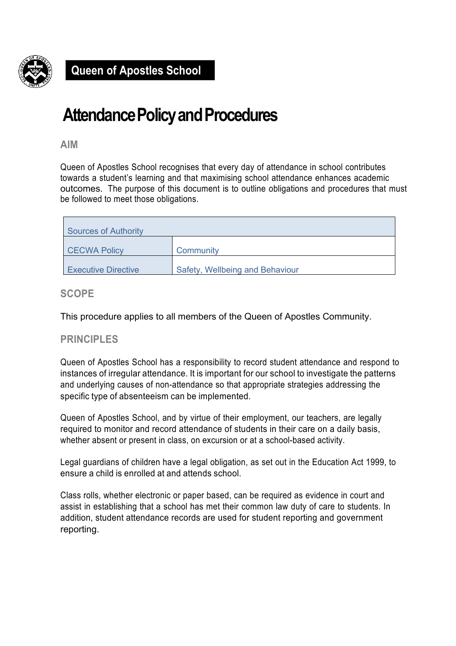

## **Attendance Policy and Procedures**

**AIM**

Queen of Apostles School recognises that every day of attendance in school contributes towards a student's learning and that maximising school attendance enhances academic outcomes. The purpose of this document is to outline obligations and procedures that must be followed to meet those obligations.

| Sources of Authority       |                                 |  |  |
|----------------------------|---------------------------------|--|--|
| <b>CECWA Policy</b>        | Community                       |  |  |
| <b>Executive Directive</b> | Safety, Wellbeing and Behaviour |  |  |

## **SCOPE**

This procedure applies to all members of the Queen of Apostles Community.

## **PRINCIPLES**

Queen of Apostles School has a responsibility to record student attendance and respond to instances of irregular attendance. It is important for our school to investigate the patterns and underlying causes of non-attendance so that appropriate strategies addressing the specific type of absenteeism can be implemented.

Queen of Apostles School, and by virtue of their employment, our teachers, are legally required to monitor and record attendance of students in their care on a daily basis, whether absent or present in class, on excursion or at a school-based activity.

Legal guardians of children have a legal obligation, as set out in the Education Act 1999, to ensure a child is enrolled at and attends school.

Class rolls, whether electronic or paper based, can be required as evidence in court and assist in establishing that a school has met their common law duty of care to students. In addition, student attendance records are used for student reporting and government reporting.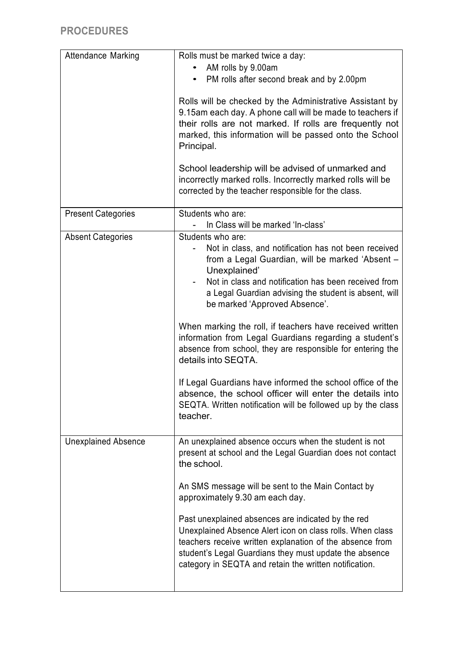| <b>Attendance Marking</b>  | Rolls must be marked twice a day:<br>AM rolls by 9.00am<br>• PM rolls after second break and by 2.00pm<br>Rolls will be checked by the Administrative Assistant by<br>9.15am each day. A phone call will be made to teachers if<br>their rolls are not marked. If rolls are frequently not<br>marked, this information will be passed onto the School                                                                                                                                                                                                                                                                                                                                                         |  |  |
|----------------------------|---------------------------------------------------------------------------------------------------------------------------------------------------------------------------------------------------------------------------------------------------------------------------------------------------------------------------------------------------------------------------------------------------------------------------------------------------------------------------------------------------------------------------------------------------------------------------------------------------------------------------------------------------------------------------------------------------------------|--|--|
|                            | Principal.<br>School leadership will be advised of unmarked and<br>incorrectly marked rolls. Incorrectly marked rolls will be<br>corrected by the teacher responsible for the class.                                                                                                                                                                                                                                                                                                                                                                                                                                                                                                                          |  |  |
| <b>Present Categories</b>  | Students who are:<br>In Class will be marked 'In-class'                                                                                                                                                                                                                                                                                                                                                                                                                                                                                                                                                                                                                                                       |  |  |
| <b>Absent Categories</b>   | Students who are:<br>Not in class, and notification has not been received<br>from a Legal Guardian, will be marked 'Absent -<br>Unexplained'<br>Not in class and notification has been received from<br>a Legal Guardian advising the student is absent, will<br>be marked 'Approved Absence'.<br>When marking the roll, if teachers have received written<br>information from Legal Guardians regarding a student's<br>absence from school, they are responsible for entering the<br>details into SEQTA.<br>If Legal Guardians have informed the school office of the<br>absence, the school officer will enter the details into<br>SEQTA. Written notification will be followed up by the class<br>teacher. |  |  |
| <b>Unexplained Absence</b> | An unexplained absence occurs when the student is not<br>present at school and the Legal Guardian does not contact<br>the school.<br>An SMS message will be sent to the Main Contact by<br>approximately 9.30 am each day.<br>Past unexplained absences are indicated by the red<br>Unexplained Absence Alert icon on class rolls. When class<br>teachers receive written explanation of the absence from<br>student's Legal Guardians they must update the absence<br>category in SEQTA and retain the written notification.                                                                                                                                                                                 |  |  |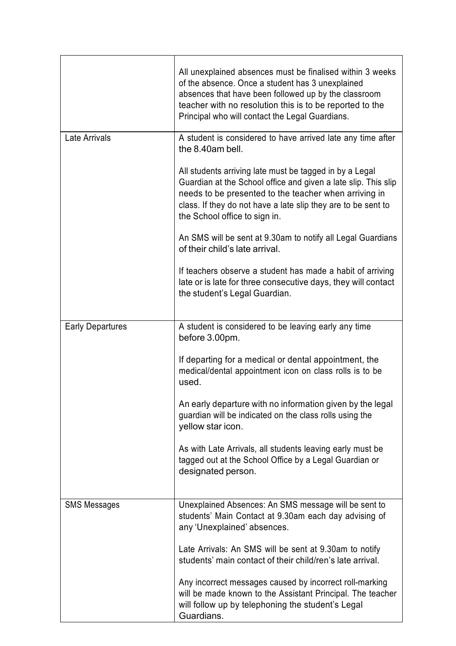|                         | All unexplained absences must be finalised within 3 weeks<br>of the absence. Once a student has 3 unexplained<br>absences that have been followed up by the classroom<br>teacher with no resolution this is to be reported to the<br>Principal who will contact the Legal Guardians. |  |  |
|-------------------------|--------------------------------------------------------------------------------------------------------------------------------------------------------------------------------------------------------------------------------------------------------------------------------------|--|--|
| Late Arrivals           | A student is considered to have arrived late any time after<br>the 8.40am bell.                                                                                                                                                                                                      |  |  |
|                         | All students arriving late must be tagged in by a Legal<br>Guardian at the School office and given a late slip. This slip<br>needs to be presented to the teacher when arriving in<br>class. If they do not have a late slip they are to be sent to<br>the School office to sign in. |  |  |
|                         | An SMS will be sent at 9.30am to notify all Legal Guardians<br>of their child's late arrival.                                                                                                                                                                                        |  |  |
|                         | If teachers observe a student has made a habit of arriving<br>late or is late for three consecutive days, they will contact<br>the student's Legal Guardian.                                                                                                                         |  |  |
| <b>Early Departures</b> | A student is considered to be leaving early any time<br>before 3.00pm.                                                                                                                                                                                                               |  |  |
|                         | If departing for a medical or dental appointment, the<br>medical/dental appointment icon on class rolls is to be<br>used.                                                                                                                                                            |  |  |
|                         | An early departure with no information given by the legal<br>guardian will be indicated on the class rolls using the<br>yellow star icon.                                                                                                                                            |  |  |
|                         | As with Late Arrivals, all students leaving early must be<br>tagged out at the School Office by a Legal Guardian or<br>designated person.                                                                                                                                            |  |  |
| <b>SMS Messages</b>     | Unexplained Absences: An SMS message will be sent to<br>students' Main Contact at 9.30am each day advising of<br>any 'Unexplained' absences.                                                                                                                                         |  |  |
|                         | Late Arrivals: An SMS will be sent at 9.30am to notify<br>students' main contact of their child/ren's late arrival.                                                                                                                                                                  |  |  |
|                         | Any incorrect messages caused by incorrect roll-marking<br>will be made known to the Assistant Principal. The teacher<br>will follow up by telephoning the student's Legal<br>Guardians.                                                                                             |  |  |